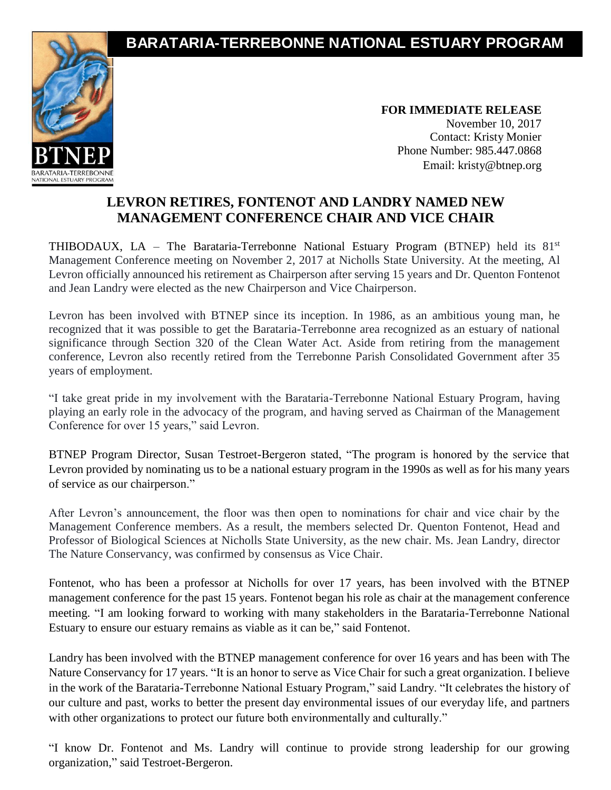## **BARATARIA-TERREBONNE NATIONAL ESTUARY PROGRAM**



**FOR IMMEDIATE RELEASE** November 10, 2017 Contact: Kristy Monier Phone Number: 985.447.0868 Email: [kristy@btnep.org](mailto:kristy@btnep.org)

## **LEVRON RETIRES, FONTENOT AND LANDRY NAMED NEW MANAGEMENT CONFERENCE CHAIR AND VICE CHAIR**

THIBODAUX, LA – The Barataria-Terrebonne National Estuary Program (BTNEP) held its  $81<sup>st</sup>$ Management Conference meeting on November 2, 2017 at Nicholls State University. At the meeting, Al Levron officially announced his retirement as Chairperson after serving 15 years and Dr. Quenton Fontenot and Jean Landry were elected as the new Chairperson and Vice Chairperson.

Levron has been involved with BTNEP since its inception. In 1986, as an ambitious young man, he recognized that it was possible to get the Barataria-Terrebonne area recognized as an estuary of national significance through Section 320 of the Clean Water Act. Aside from retiring from the management conference, Levron also recently retired from the Terrebonne Parish Consolidated Government after 35 years of employment.

"I take great pride in my involvement with the Barataria-Terrebonne National Estuary Program, having playing an early role in the advocacy of the program, and having served as Chairman of the Management Conference for over 15 years," said Levron.

BTNEP Program Director, Susan Testroet-Bergeron stated, "The program is honored by the service that Levron provided by nominating us to be a national estuary program in the 1990s as well as for his many years of service as our chairperson."

After Levron's announcement, the floor was then open to nominations for chair and vice chair by the Management Conference members. As a result, the members selected Dr. Quenton Fontenot, Head and Professor of Biological Sciences at Nicholls State University, as the new chair. Ms. Jean Landry, director The Nature Conservancy, was confirmed by consensus as Vice Chair.

Fontenot, who has been a professor at Nicholls for over 17 years, has been involved with the BTNEP management conference for the past 15 years. Fontenot began his role as chair at the management conference meeting. "I am looking forward to working with many stakeholders in the Barataria-Terrebonne National Estuary to ensure our estuary remains as viable as it can be," said Fontenot.

Landry has been involved with the BTNEP management conference for over 16 years and has been with The Nature Conservancy for 17 years. "It is an honor to serve as Vice Chair for such a great organization. I believe in the work of the Barataria-Terrebonne National Estuary Program," said Landry. "It celebrates the history of our culture and past, works to better the present day environmental issues of our everyday life, and partners with other organizations to protect our future both environmentally and culturally."

"I know Dr. Fontenot and Ms. Landry will continue to provide strong leadership for our growing organization," said Testroet-Bergeron.